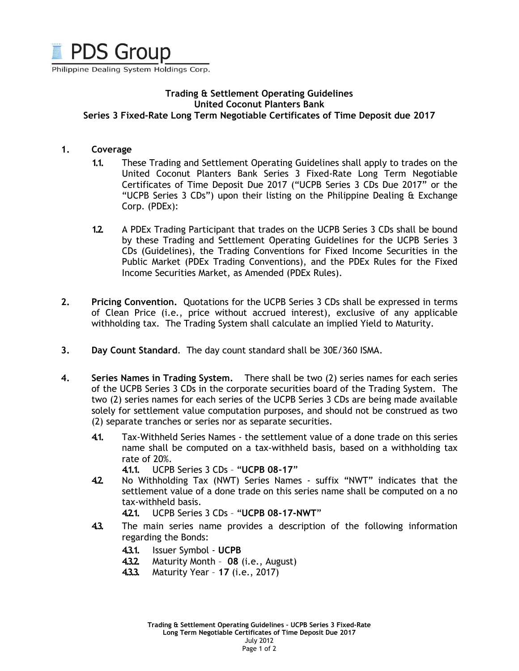

Philippine Dealing System Holdings Corp.

## Trading & Settlement Operating Guidelines United Coconut Planters Bank Series 3 Fixed-Rate Long Term Negotiable Certificates of Time Deposit due 2017

#### 1. Coverage

- 1.1. These Trading and Settlement Operating Guidelines shall apply to trades on the United Coconut Planters Bank Series 3 Fixed-Rate Long Term Negotiable Certificates of Time Deposit Due 2017 ("UCPB Series 3 CDs Due 2017" or the "UCPB Series 3 CDs") upon their listing on the Philippine Dealing & Exchange Corp. (PDEx):
- 1.2. A PDEx Trading Participant that trades on the UCPB Series 3 CDs shall be bound by these Trading and Settlement Operating Guidelines for the UCPB Series 3 CDs (Guidelines), the Trading Conventions for Fixed Income Securities in the Public Market (PDEx Trading Conventions), and the PDEx Rules for the Fixed Income Securities Market, as Amended (PDEx Rules).
- 2. Pricing Convention. Quotations for the UCPB Series 3 CDs shall be expressed in terms of Clean Price (i.e., price without accrued interest), exclusive of any applicable withholding tax. The Trading System shall calculate an implied Yield to Maturity.
- 3. Day Count Standard. The day count standard shall be 30E/360 ISMA.
- 4. Series Names in Trading System. There shall be two (2) series names for each series of the UCPB Series 3 CDs in the corporate securities board of the Trading System. The two (2) series names for each series of the UCPB Series 3 CDs are being made available solely for settlement value computation purposes, and should not be construed as two (2) separate tranches or series nor as separate securities.
	- 4.1. Tax-Withheld Series Names the settlement value of a done trade on this series name shall be computed on a tax-withheld basis, based on a withholding tax rate of 20%.

4.1.1. UCPB Series 3 CDs – "UCPB 08-17"

- 4.2. No Withholding Tax (NWT) Series Names suffix "NWT" indicates that the settlement value of a done trade on this series name shall be computed on a no tax-withheld basis.
	- 4.2.1. UCPB Series 3 CDs "UCPB 08-17-NWT"
- 4.3. The main series name provides a description of the following information regarding the Bonds:
	- 4.3.1. Issuer Symbol UCPB
	- 4.3.2. Maturity Month 08 (i.e., August)
	- 4.3.3. Maturity Year 17 (i.e., 2017)